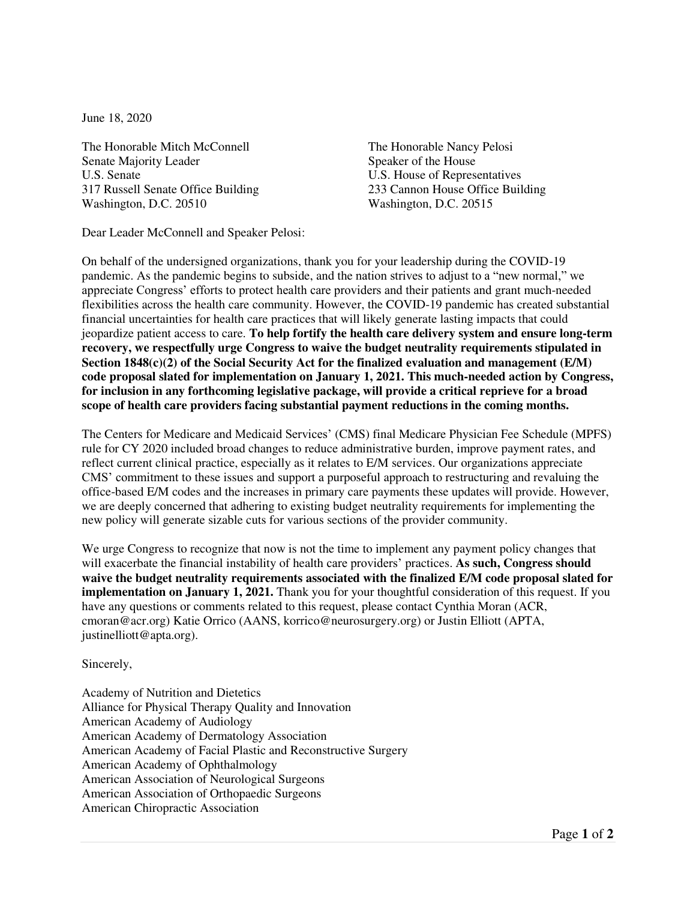June 18, 2020

The Honorable Mitch McConnell The Honorable Nancy Pelosi Senate Majority Leader Speaker of the House U.S. Senate U.S. House of Representatives 317 Russell Senate Office Building 233 Cannon House Office Building Washington, D.C. 20510 Washington, D.C. 20515

Dear Leader McConnell and Speaker Pelosi:

On behalf of the undersigned organizations, thank you for your leadership during the COVID-19 pandemic. As the pandemic begins to subside, and the nation strives to adjust to a "new normal," we appreciate Congress' efforts to protect health care providers and their patients and grant much-needed flexibilities across the health care community. However, the COVID-19 pandemic has created substantial financial uncertainties for health care practices that will likely generate lasting impacts that could jeopardize patient access to care. **To help fortify the health care delivery system and ensure long-term recovery, we respectfully urge Congress to waive the budget neutrality requirements stipulated in Section 1848(c)(2) of the Social Security Act for the finalized evaluation and management (E/M) code proposal slated for implementation on January 1, 2021. This much-needed action by Congress, for inclusion in any forthcoming legislative package, will provide a critical reprieve for a broad scope of health care providers facing substantial payment reductions in the coming months.**

The Centers for Medicare and Medicaid Services' (CMS) final Medicare Physician Fee Schedule (MPFS) rule for CY 2020 included broad changes to reduce administrative burden, improve payment rates, and reflect current clinical practice, especially as it relates to E/M services. Our organizations appreciate CMS' commitment to these issues and support a purposeful approach to restructuring and revaluing the office-based E/M codes and the increases in primary care payments these updates will provide. However, we are deeply concerned that adhering to existing budget neutrality requirements for implementing the new policy will generate sizable cuts for various sections of the provider community.

We urge Congress to recognize that now is not the time to implement any payment policy changes that will exacerbate the financial instability of health care providers' practices. **As such, Congress should waive the budget neutrality requirements associated with the finalized E/M code proposal slated for implementation on January 1, 2021.** Thank you for your thoughtful consideration of this request. If you have any questions or comments related to this request, please contact Cynthia Moran (ACR, cmoran@acr.org) Katie Orrico (AANS, korrico@neurosurgery.org) or Justin Elliott (APTA, justinelliott@apta.org).

Sincerely,

Academy of Nutrition and Dietetics Alliance for Physical Therapy Quality and Innovation American Academy of Audiology American Academy of Dermatology Association American Academy of Facial Plastic and Reconstructive Surgery American Academy of Ophthalmology American Association of Neurological Surgeons American Association of Orthopaedic Surgeons American Chiropractic Association